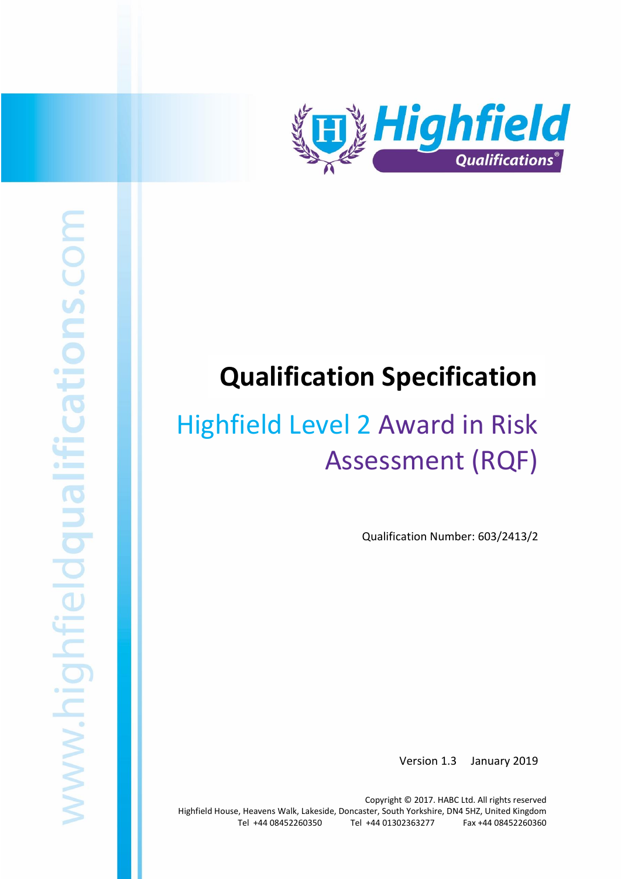

# **Qualification Specification**

# Highfield Level 2 Award in Risk Assessment (RQF)

Qualification Number: 603/2413/2

Version 1.3 January 2019

Highfield Level 2 Award in Risk Assessment (RQF) 1 Award in Risk Assessment (RQF) 1 Award in Risk Assessment (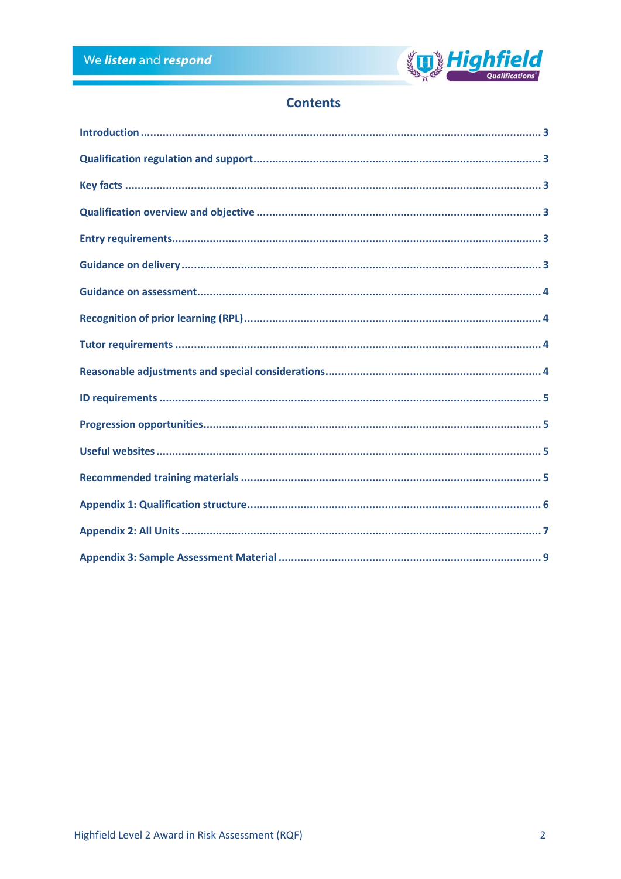

## **Contents**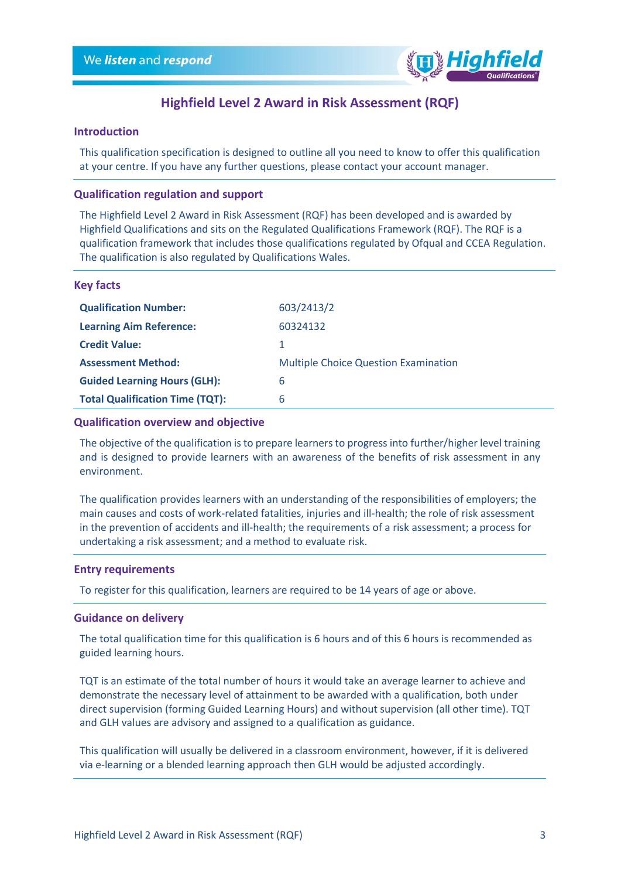

## **Highfield Level 2 Award in Risk Assessment (RQF)**

#### <span id="page-2-0"></span>**Introduction**

This qualification specification is designed to outline all you need to know to offer this qualification at your centre. If you have any further questions, please contact your account manager.

#### <span id="page-2-1"></span>**Qualification regulation and support**

The Highfield Level 2 Award in Risk Assessment (RQF) has been developed and is awarded by Highfield Qualifications and sits on the Regulated Qualifications Framework (RQF). The RQF is a qualification framework that includes those qualifications regulated by Ofqual and CCEA Regulation. The qualification is also regulated by Qualifications Wales.

#### <span id="page-2-2"></span>**Key facts**

| <b>Qualification Number:</b>           | 603/2413/2                                  |
|----------------------------------------|---------------------------------------------|
| <b>Learning Aim Reference:</b>         | 60324132                                    |
| <b>Credit Value:</b>                   | 1                                           |
| <b>Assessment Method:</b>              | <b>Multiple Choice Question Examination</b> |
| <b>Guided Learning Hours (GLH):</b>    | 6                                           |
| <b>Total Qualification Time (TQT):</b> | 6                                           |

#### <span id="page-2-3"></span>**Qualification overview and objective**

The objective of the qualification is to prepare learners to progress into further/higher level training and is designed to provide learners with an awareness of the benefits of risk assessment in any environment.

The qualification provides learners with an understanding of the responsibilities of employers; the main causes and costs of work-related fatalities, injuries and ill-health; the role of risk assessment in the prevention of accidents and ill-health; the requirements of a risk assessment; a process for undertaking a risk assessment; and a method to evaluate risk.

#### <span id="page-2-4"></span>**Entry requirements**

To register for this qualification, learners are required to be 14 years of age or above.

#### <span id="page-2-5"></span>**Guidance on delivery**

The total qualification time for this qualification is 6 hours and of this 6 hours is recommended as guided learning hours.

TQT is an estimate of the total number of hours it would take an average learner to achieve and demonstrate the necessary level of attainment to be awarded with a qualification, both under direct supervision (forming Guided Learning Hours) and without supervision (all other time). TQT and GLH values are advisory and assigned to a qualification as guidance.

This qualification will usually be delivered in a classroom environment, however, if it is delivered via e-learning or a blended learning approach then GLH would be adjusted accordingly.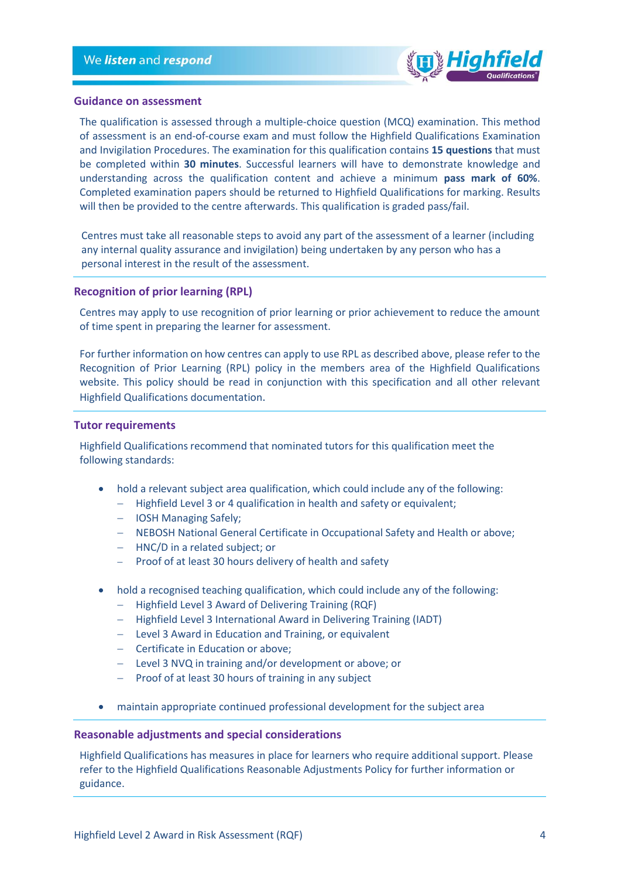

#### <span id="page-3-0"></span>**Guidance on assessment**

The qualification is assessed through a multiple-choice question (MCQ) examination. This method of assessment is an end-of-course exam and must follow the Highfield Qualifications Examination and Invigilation Procedures. The examination for this qualification contains **15 questions** that must be completed within **30 minutes**. Successful learners will have to demonstrate knowledge and understanding across the qualification content and achieve a minimum **pass mark of 60%**. Completed examination papers should be returned to Highfield Qualifications for marking. Results will then be provided to the centre afterwards. This qualification is graded pass/fail.

Centres must take all reasonable steps to avoid any part of the assessment of a learner (including any internal quality assurance and invigilation) being undertaken by any person who has a personal interest in the result of the assessment.

#### <span id="page-3-1"></span>**Recognition of prior learning (RPL)**

Centres may apply to use recognition of prior learning or prior achievement to reduce the amount of time spent in preparing the learner for assessment.

For further information on how centres can apply to use RPL as described above, please refer to the Recognition of Prior Learning (RPL) policy in the members area of the Highfield Qualifications website. This policy should be read in conjunction with this specification and all other relevant Highfield Qualifications documentation.

#### <span id="page-3-2"></span>**Tutor requirements**

Highfield Qualifications recommend that nominated tutors for this qualification meet the following standards:

- hold a relevant subject area qualification, which could include any of the following:
	- − Highfield Level 3 or 4 qualification in health and safety or equivalent;
	- − IOSH Managing Safely;
	- − NEBOSH National General Certificate in Occupational Safety and Health or above;
	- − HNC/D in a related subject; or
	- − Proof of at least 30 hours delivery of health and safety
- hold a recognised teaching qualification, which could include any of the following:
	- − Highfield Level 3 Award of Delivering Training (RQF)
	- − Highfield Level 3 International Award in Delivering Training (IADT)
	- − Level 3 Award in Education and Training, or equivalent
	- − Certificate in Education or above;
	- − Level 3 NVQ in training and/or development or above; or
	- − Proof of at least 30 hours of training in any subject
- maintain appropriate continued professional development for the subject area

#### <span id="page-3-3"></span>**Reasonable adjustments and special considerations**

Highfield Qualifications has measures in place for learners who require additional support. Please refer to the Highfield Qualifications Reasonable Adjustments Policy for further information or guidance.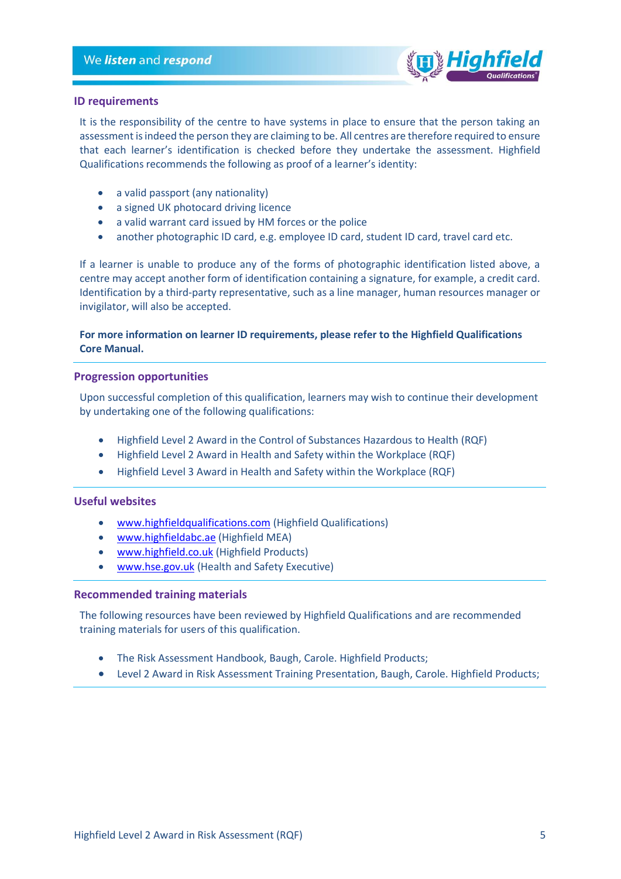

#### <span id="page-4-0"></span>**ID requirements**

It is the responsibility of the centre to have systems in place to ensure that the person taking an assessment is indeed the person they are claiming to be. All centres are therefore required to ensure that each learner's identification is checked before they undertake the assessment. Highfield Qualifications recommends the following as proof of a learner's identity:

- a valid passport (any nationality)
- a signed UK photocard driving licence
- a valid warrant card issued by HM forces or the police
- another photographic ID card, e.g. employee ID card, student ID card, travel card etc.

If a learner is unable to produce any of the forms of photographic identification listed above, a centre may accept another form of identification containing a signature, for example, a credit card. Identification by a third-party representative, such as a line manager, human resources manager or invigilator, will also be accepted.

#### **For more information on learner ID requirements, please refer to the Highfield Qualifications Core Manual.**

#### <span id="page-4-1"></span>**Progression opportunities**

Upon successful completion of this qualification, learners may wish to continue their development by undertaking one of the following qualifications:

- Highfield Level 2 Award in the Control of Substances Hazardous to Health (RQF)
- Highfield Level 2 Award in Health and Safety within the Workplace (RQF)
- Highfield Level 3 Award in Health and Safety within the Workplace (RQF)

#### <span id="page-4-2"></span>**Useful websites**

- [www.highfieldqualifications.com](http://www.highfieldqualifications.com/) (Highfield Qualifications)
- [www.highfieldabc.ae](http://www.highfieldabc.ae/) (Highfield MEA)
- [www.highfield.co.uk](http://www.highfield.co.uk/) (Highfield Products)
- [www.hse.gov.uk](http://www.hse.gov.uk/) (Health and Safety Executive)

#### <span id="page-4-3"></span>**Recommended training materials**

The following resources have been reviewed by Highfield Qualifications and are recommended training materials for users of this qualification.

- The Risk Assessment Handbook, Baugh, Carole. Highfield Products;
- Level 2 Award in Risk Assessment Training Presentation, Baugh, Carole. Highfield Products;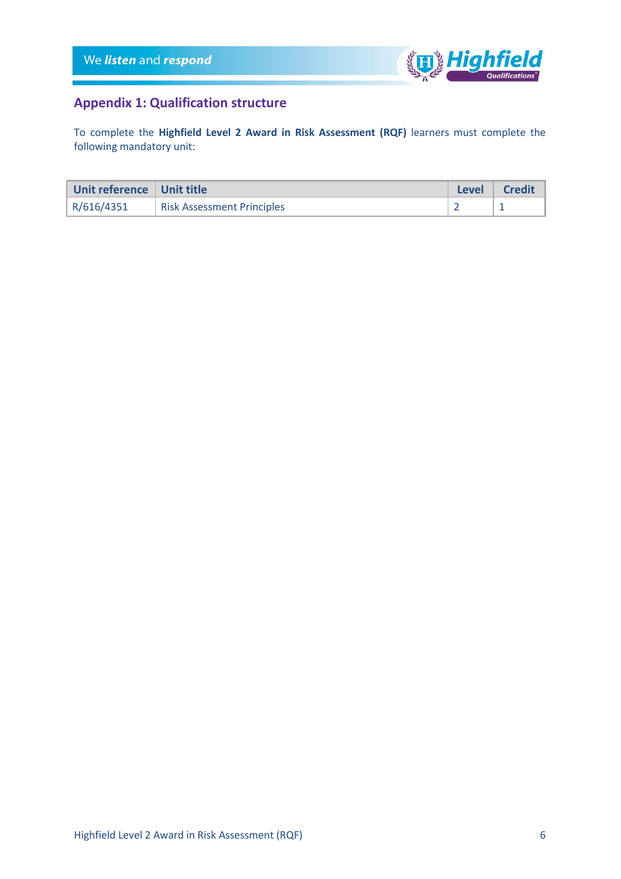

# <span id="page-5-0"></span>**Appendix 1: Qualification structure**

To complete the **Highfield Level 2 Award in Risk Assessment (RQF)** learners must complete the following mandatory unit:

| Unit reference   Unit title |                                   | <b>Level</b> | <b>Credit</b> |
|-----------------------------|-----------------------------------|--------------|---------------|
| R/616/4351                  | <b>Risk Assessment Principles</b> |              |               |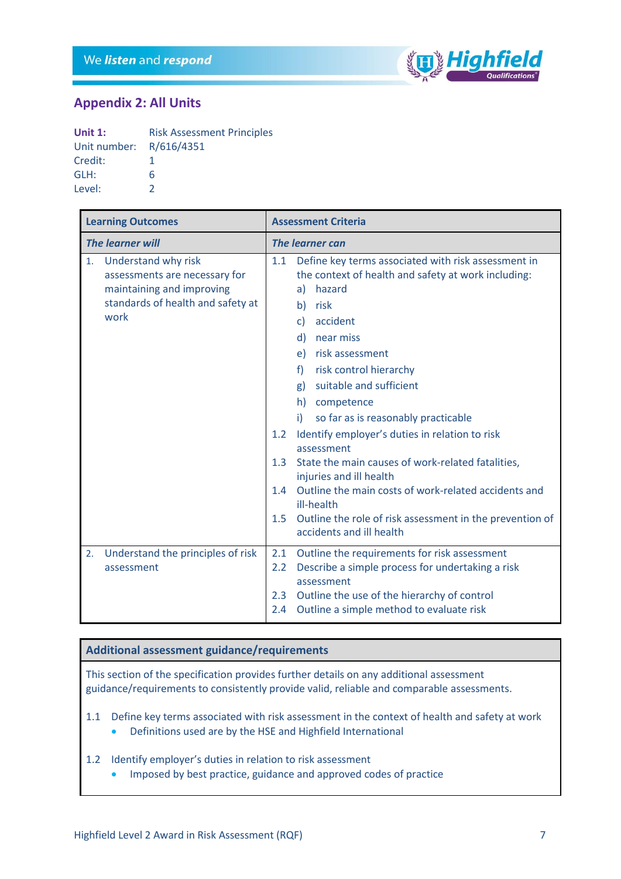

### <span id="page-6-0"></span>**Appendix 2: All Units**

| Unit $1$ :   | <b>Risk Assessment Principles</b> |
|--------------|-----------------------------------|
| Unit number: | R/616/4351                        |
| Credit:      | 1                                 |
| GLH:         | 6                                 |
| Level:       |                                   |

| <b>Learning Outcomes</b>                                                                                                             | <b>Assessment Criteria</b>                                                                                                                                                                                                                                                                                                                                                                                                                                                                                                                                                                                                                                                                              |  |
|--------------------------------------------------------------------------------------------------------------------------------------|---------------------------------------------------------------------------------------------------------------------------------------------------------------------------------------------------------------------------------------------------------------------------------------------------------------------------------------------------------------------------------------------------------------------------------------------------------------------------------------------------------------------------------------------------------------------------------------------------------------------------------------------------------------------------------------------------------|--|
| <b>The learner will</b>                                                                                                              | The learner can                                                                                                                                                                                                                                                                                                                                                                                                                                                                                                                                                                                                                                                                                         |  |
| Understand why risk<br>1.<br>assessments are necessary for<br>maintaining and improving<br>standards of health and safety at<br>work | 1.1<br>Define key terms associated with risk assessment in<br>the context of health and safety at work including:<br>hazard<br>a)<br>risk<br>b)<br>accident<br>$\mathsf{C}$<br>near miss<br>$\mathsf{d}$<br>e) risk assessment<br>risk control hierarchy<br>f)<br>suitable and sufficient<br>g)<br>h) competence<br>so far as is reasonably practicable<br>i)<br>Identify employer's duties in relation to risk<br>1.2<br>assessment<br>State the main causes of work-related fatalities,<br>1.3<br>injuries and ill health<br>Outline the main costs of work-related accidents and<br>1.4<br>ill-health<br>Outline the role of risk assessment in the prevention of<br>1.5<br>accidents and ill health |  |
| Understand the principles of risk<br>2.<br>assessment                                                                                | Outline the requirements for risk assessment<br>2.1<br>Describe a simple process for undertaking a risk<br>$2.2^{\circ}$<br>assessment<br>Outline the use of the hierarchy of control<br>2.3<br>Outline a simple method to evaluate risk<br>$2.4^{\circ}$                                                                                                                                                                                                                                                                                                                                                                                                                                               |  |

#### **Additional assessment guidance/requirements**

This section of the specification provides further details on any additional assessment guidance/requirements to consistently provide valid, reliable and comparable assessments.

1.1 Define key terms associated with risk assessment in the context of health and safety at work • Definitions used are by the HSE and Highfield International

- 1.2 Identify employer's duties in relation to risk assessment
	- Imposed by best practice, guidance and approved codes of practice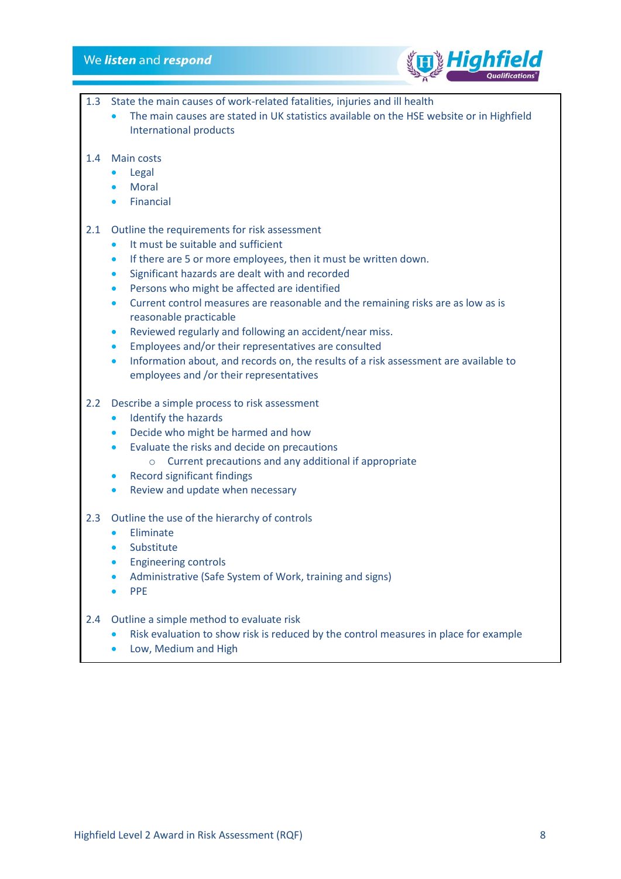#### We listen and respond



1.3 State the main causes of work-related fatalities, injuries and ill health

- The main causes are stated in UK statistics available on the HSE website or in Highfield International products
- 1.4 Main costs
	- Legal
	- **Moral**
	- Financial

#### 2.1 Outline the requirements for risk assessment

- It must be suitable and sufficient
- If there are 5 or more employees, then it must be written down.
- Significant hazards are dealt with and recorded
- Persons who might be affected are identified
- Current control measures are reasonable and the remaining risks are as low as is reasonable practicable
- Reviewed regularly and following an accident/near miss.
- Employees and/or their representatives are consulted
- Information about, and records on, the results of a risk assessment are available to employees and /or their representatives

#### 2.2 Describe a simple process to risk assessment

- Identify the hazards
- Decide who might be harmed and how
- Evaluate the risks and decide on precautions
	- o Current precautions and any additional if appropriate
- Record significant findings
- Review and update when necessary

#### 2.3 Outline the use of the hierarchy of controls

- Eliminate
- Substitute
- Engineering controls
- Administrative (Safe System of Work, training and signs)
- PPE

#### 2.4 Outline a simple method to evaluate risk

- Risk evaluation to show risk is reduced by the control measures in place for example
- Low, Medium and High